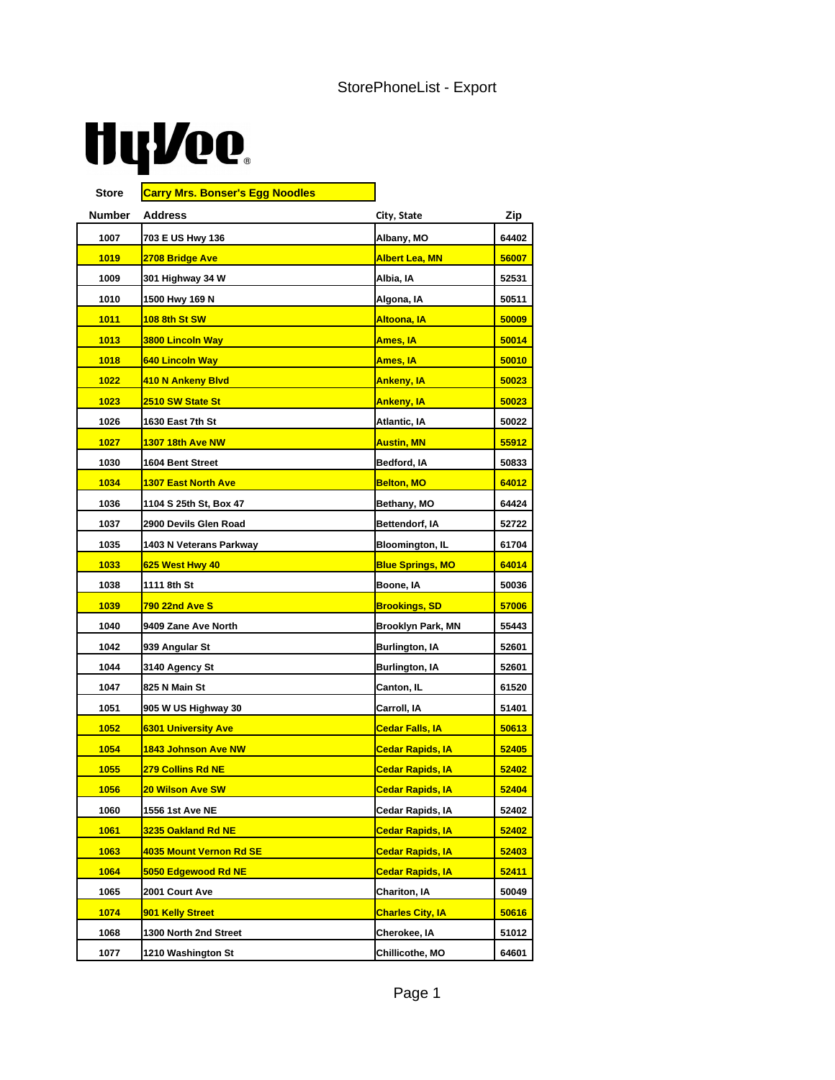## **HyVee**

| Store  | <b>Carry Mrs. Bonser's Egg Noodles</b> |                               |       |
|--------|----------------------------------------|-------------------------------|-------|
| Number | Address                                | City, State                   | Zip   |
| 1007   | 703 E US Hwy 136                       | Albany, MO                    | 64402 |
| 1019   | 2708 Bridge Ave                        | <b>Albert Lea, MN</b>         | 56007 |
| 1009   | 301 Highway 34 W                       | Albia, IA                     | 52531 |
| 1010   | 1500 Hwy 169 N                         | Algona, IA                    | 50511 |
| 1011   | <b>108 8th St SW</b>                   | <mark>Altoona, IA</mark>      | 50009 |
| 1013   | <b>3800 Lincoln Way</b>                | Ames, IA                      | 50014 |
| 1018   | 640 Lincoln Way                        | Ames, IA                      | 50010 |
| 1022   | 410 N Ankeny Blvd                      | <b>Ankeny, IA</b>             | 50023 |
| 1023   | 2510 SW State St                       | <u>Ankeny, IA</u>             | 50023 |
| 1026   | 1630 East 7th St                       | Atlantic, IA                  | 50022 |
| 1027   | <b>1307 18th Ave NW</b>                | <b>Austin, MN</b>             | 55912 |
| 1030   | 1604 Bent Street                       | Bedford, IA                   | 50833 |
| 1034   | <b>1307 East North Ave</b>             | <b>Belton, MO</b>             | 64012 |
| 1036   | 1104 S 25th St, Box 47                 | Bethany, MO                   | 64424 |
| 1037   | 2900 Devils Glen Road                  | Bettendorf, IA                | 52722 |
| 1035   | 1403 N Veterans Parkway                | <b>Bloomington, IL</b>        | 61704 |
| 1033   | 625 West Hwy 40                        | <b>Blue Springs, MO</b>       | 64014 |
| 1038   | 1111 8th St                            | Boone, IA                     | 50036 |
| 1039   | <u>790 22nd Ave S</u>                  | <u>Brookings, SD</u>          | 57006 |
| 1040   | 9409 Zane Ave North                    | Brooklyn Park, MN             | 55443 |
| 1042   | 939 Angular St                         | Burlington, IA                | 52601 |
| 1044   | 3140 Agency St                         | Burlington, IA                | 52601 |
| 1047   | 825 N Main St                          | Canton, IL                    | 61520 |
| 1051   | 905 W US Highway 30                    | Carroll, IA                   | 51401 |
| 1052   | <b>6301 University Ave</b>             | <u>Cedar Falls, IA</u>        | 50613 |
| 1054   | <b>1843 Johnson Ave NW</b>             | <u>Cedar Rapids, IA</u>       | 52405 |
| 1055   | <b>279 Collins Rd NE</b>               | <u>Cedar Rapids, IA</u>       | 52402 |
| 1056   | <b>20 Wilson Ave SW</b>                | <mark>Cedar Rapids, IA</mark> | 52404 |
| 1060   | 1556 1st Ave NE                        | Cedar Rapids, IA              | 52402 |
| 1061   | 3235 Oakland Rd NE                     | <b>Cedar Rapids, IA</b>       | 52402 |
| 1063   | 4035 Mount Vernon Rd SE                | <mark>Cedar Rapids, IA</mark> | 52403 |
| 1064   | 5050 Edgewood Rd NE                    | <mark>Cedar Rapids, IA</mark> | 52411 |
| 1065   | 2001 Court Ave                         | Chariton, IA                  | 50049 |
| 1074   | 901 Kelly Street                       | <b>Charles City, IA</b>       | 50616 |
| 1068   | 1300 North 2nd Street                  | Cherokee, IA                  | 51012 |
| 1077   | 1210 Washington St                     | Chillicothe, MO               | 64601 |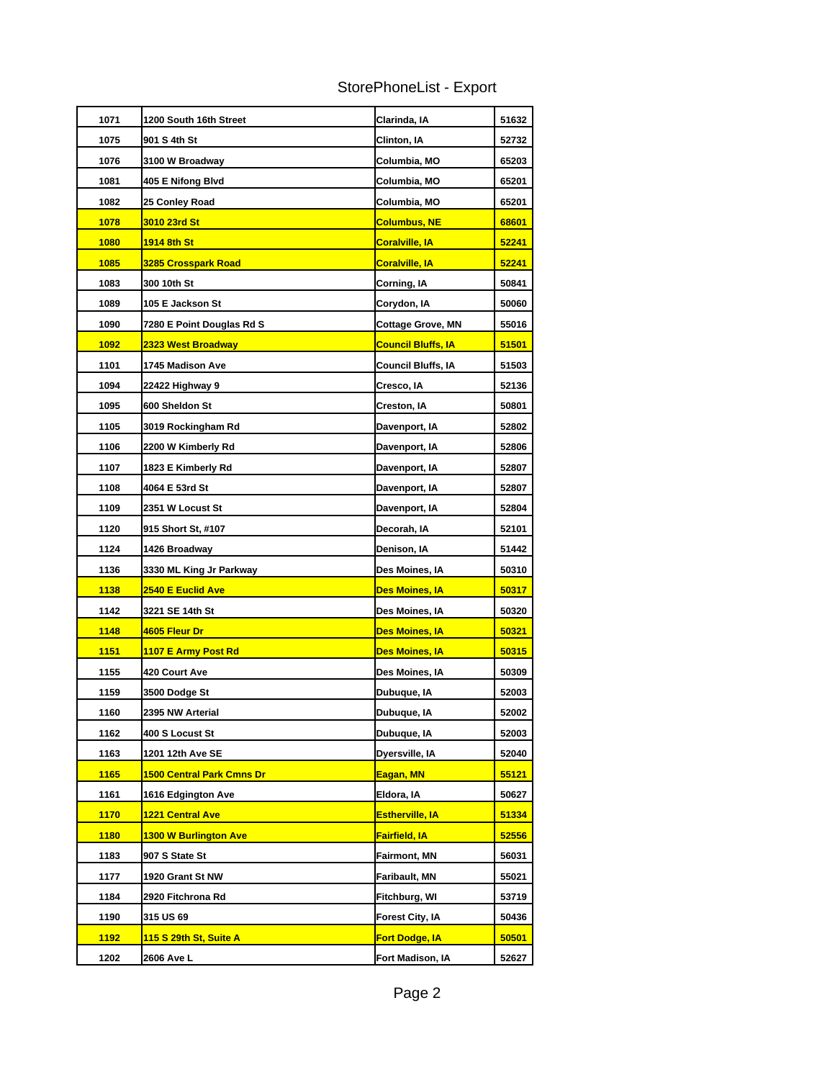| StorePhoneList - Export |  |
|-------------------------|--|
|-------------------------|--|

| 1071        | 1200 South 16th Street           | Clarinda, IA              | 51632        |
|-------------|----------------------------------|---------------------------|--------------|
| 1075        | 901 S 4th St                     | Clinton, IA               | 52732        |
| 1076        | 3100 W Broadway                  | Columbia, MO              | 65203        |
| 1081        | 405 E Nifong Blvd                | Columbia, MO              | 65201        |
| 1082        | 25 Conley Road                   | Columbia, MO              | 65201        |
| 1078        | 3010 23rd St                     | <b>Columbus, NE</b>       | 68601        |
| <b>1080</b> | <u>1914 8th St</u>               | <b>Coralville, IA</b>     | 52241        |
| 1085        | <b>3285 Crosspark Road</b>       | <b>Coralville, IA</b>     | 52241        |
| 1083        | 300 10th St                      | Corning, IA               | 50841        |
| 1089        | 105 E Jackson St                 | Corydon, IA               | 50060        |
| 1090        | 7280 E Point Douglas Rd S        | <b>Cottage Grove, MN</b>  | 55016        |
| 1092        | 2323 West Broadway               | <b>Council Bluffs, IA</b> | 51501        |
| 1101        | <b>1745 Madison Ave</b>          | Council Bluffs, IA        | 51503        |
| 1094        | 22422 Highway 9                  | Cresco, IA                | 52136        |
| 1095        | 600 Sheldon St                   | Creston, IA               | 50801        |
| 1105        | 3019 Rockingham Rd               | Davenport, IA             | 52802        |
| 1106        | 2200 W Kimberly Rd               | Davenport, IA             | 52806        |
| 1107        | 1823 E Kimberly Rd               | Davenport, IA             | 52807        |
| 1108        | 4064 E 53rd St                   | Davenport, IA             | 52807        |
| 1109        | 2351 W Locust St                 | Davenport, IA             | 52804        |
| 1120        | 915 Short St, #107               | Decorah, IA               | 52101        |
| 1124        | 1426 Broadway                    | Denison, IA               | 51442        |
| 1136        | 3330 ML King Jr Parkway          | Des Moines, IA            | 50310        |
| 1138        | 2540 E Euclid Ave                | <b>Des Moines, IA</b>     | 50317        |
| 1142        | 3221 SE 14th St                  | Des Moines, IA            | 50320        |
| 1148        | 4605 Fleur Dr                    | <b>Des Moines, IA</b>     | 50321        |
| <u>1151</u> | 1107 E Army Post Rd              | <b>Des Moines, IA</b>     | 50315        |
| 1155        | 420 Court Ave                    | Des Moines, IA            | 50309        |
| 1159        | 3500 Dodge St                    | Dubuque, IA               | 52003        |
| 1160        | 2395 NW Arterial                 | Dubuque, IA               | 52002        |
| 1162        | 400 S Locust St                  | Dubuque, IA               | 52003        |
| 1163        | 1201 12th Ave SE                 | Dyersville, IA            | 52040        |
| 1165        | <u>1500 Central Park Cmns Dr</u> | Eagan, MN                 | <u>55121</u> |
| 1161        | 1616 Edgington Ave               | Eldora, IA                | 50627        |
| <b>1170</b> | <b>1221 Central Ave</b>          | <b>Estherville, IA</b>    | 51334        |
| <b>1180</b> | <b>1300 W Burlington Ave</b>     | <b>Fairfield, IA</b>      | 52556        |
| 1183        | 907 S State St                   | Fairmont, MN              | 56031        |
| 1177        | 1920 Grant St NW                 | Faribault, MN             | 55021        |
| 1184        | 2920 Fitchrona Rd                | Fitchburg, WI             | 53719        |
| 1190        | 315 US 69                        | Forest City, IA           | 50436        |
| <b>1192</b> | <u>115 S 29th St, Suite A</u>    | <b>Fort Dodge, IA</b>     | 50501        |
| 1202        | 2606 Ave L                       | Fort Madison, IA          | 52627        |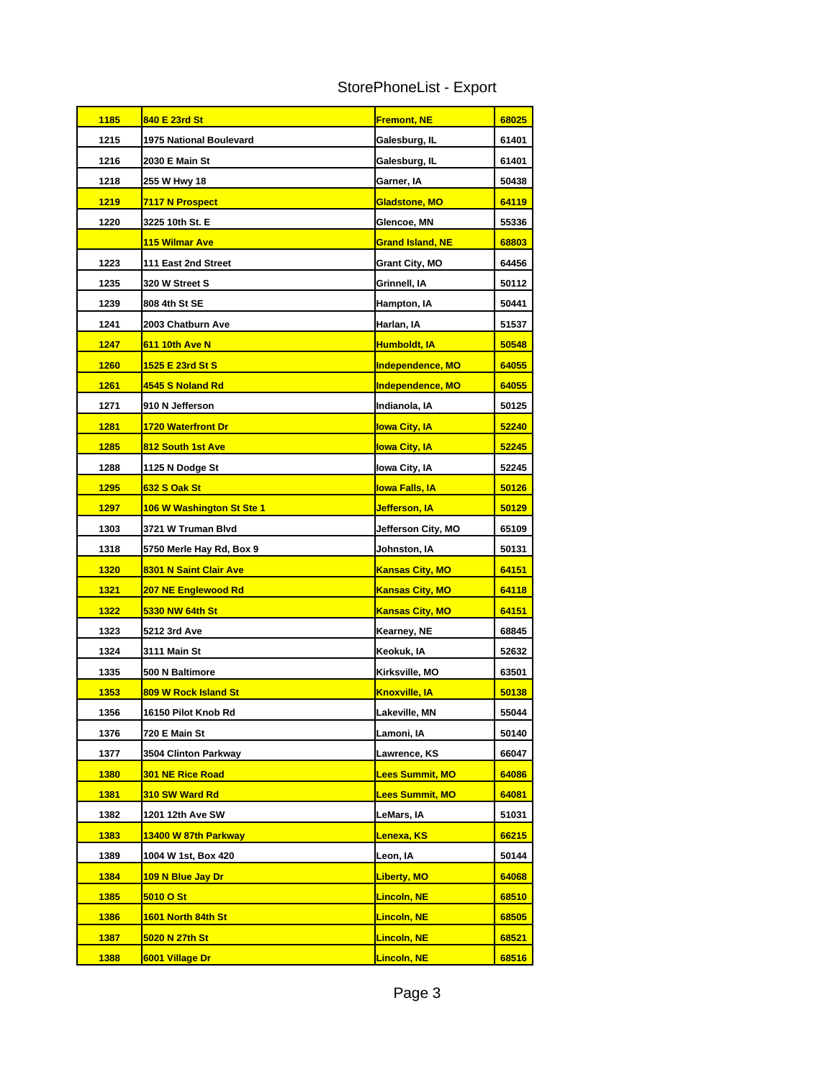| StorePhoneList - Export |  |  |
|-------------------------|--|--|
|-------------------------|--|--|

| 1185        | 840 E 23rd St             | <b>Fremont, NE</b>      | 68025 |
|-------------|---------------------------|-------------------------|-------|
| 1215        | 1975 National Boulevard   | Galesburg, IL           | 61401 |
| 1216        | 2030 E Main St            | Galesburg, IL           | 61401 |
| 1218        | 255 W Hwy 18              | Garner, IA              | 50438 |
| 1219        | 7117 N Prospect           | <b>Gladstone, MO</b>    | 64119 |
| 1220        | 3225 10th St. E           | Glencoe, MN             | 55336 |
|             | 115 Wilmar Ave            | <b>Grand Island, NE</b> | 68803 |
| 1223        | 111 East 2nd Street       | <b>Grant City, MO</b>   | 64456 |
| 1235        | 320 W Street S            | Grinnell, IA            | 50112 |
| 1239        | 808 4th St SE             | Hampton, IA             | 50441 |
| 1241        | 2003 Chatburn Ave         | Harlan, IA              | 51537 |
| 1247        | 611 10th Ave N            | Humboldt, IA            | 50548 |
| 1260        | 1525 E 23rd St S          | <b>Independence, MO</b> | 64055 |
| 1261        | 4545 S Noland Rd          | <b>Independence, MO</b> | 64055 |
| 1271        | 910 N Jefferson           | Indianola, IA           | 50125 |
| 1281        | 1720 Waterfront Dr        | <b>lowa City, IA</b>    | 52240 |
| 1285        | 812 South 1st Ave         | <b>lowa City, IA</b>    | 52245 |
| 1288        | 1125 N Dodge St           | Iowa City, IA           | 52245 |
| 1295        | 632 S Oak St              | <u>Iowa Falls, IA</u>   | 50126 |
| 1297        | 106 W Washington St Ste 1 | Jefferson, IA           | 50129 |
| 1303        | 3721 W Truman Blvd        | Jefferson City, MO      | 65109 |
| 1318        | 5750 Merle Hay Rd, Box 9  | Johnston, IA            | 50131 |
| 1320        | 8301 N Saint Clair Ave    | <b>Kansas City, MO</b>  | 64151 |
| 1321        | 207 NE Englewood Rd       | <b>Kansas City, MO</b>  | 64118 |
| 1322        | 5330 NW 64th St           | <b>Kansas City, MO</b>  | 64151 |
| 1323        | 5212 3rd Ave              | Kearney, NE             | 68845 |
| 1324        | 3111 Main St              | Keokuk, IA              | 52632 |
| 1335        | 500 N Baltimore           | Kirksville, MO          | 63501 |
| 1353        | 809 W Rock Island St      | <u>Knoxville, IA</u>    | 50138 |
| 1356        | 16150 Pilot Knob Rd       | Lakeville. MN           | 55044 |
| 1376        | 720 E Main St             | Lamoni, IA              | 50140 |
| 1377        | 3504 Clinton Parkway      | Lawrence, KS            | 66047 |
| <b>1380</b> | <b>301 NE Rice Road</b>   | <b>Lees Summit, MO</b>  | 64086 |
| <b>1381</b> | 310 SW Ward Rd            | <b>Lees Summit, MO</b>  | 64081 |
| 1382        | 1201 12th Ave SW          | LeMars, IA              | 51031 |
| 1383        | 13400 W 87th Parkway      | Lenexa, KS              | 66215 |
| 1389        | 1004 W 1st, Box 420       | Leon, IA                | 50144 |
| 1384        | <b>109 N Blue Jay Dr</b>  | <b>Liberty, MO</b>      | 64068 |
| 1385        | 5010 O St                 | <b>Lincoln, NE</b>      | 68510 |
| 1386        | 1601 North 84th St        | <b>Lincoln, NE</b>      | 68505 |
| 1387        | 5020 N 27th St            | <u>Lincoln, NE</u>      | 68521 |
| <b>1388</b> | 6001 Village Dr           | <b>Lincoln, NE</b>      | 68516 |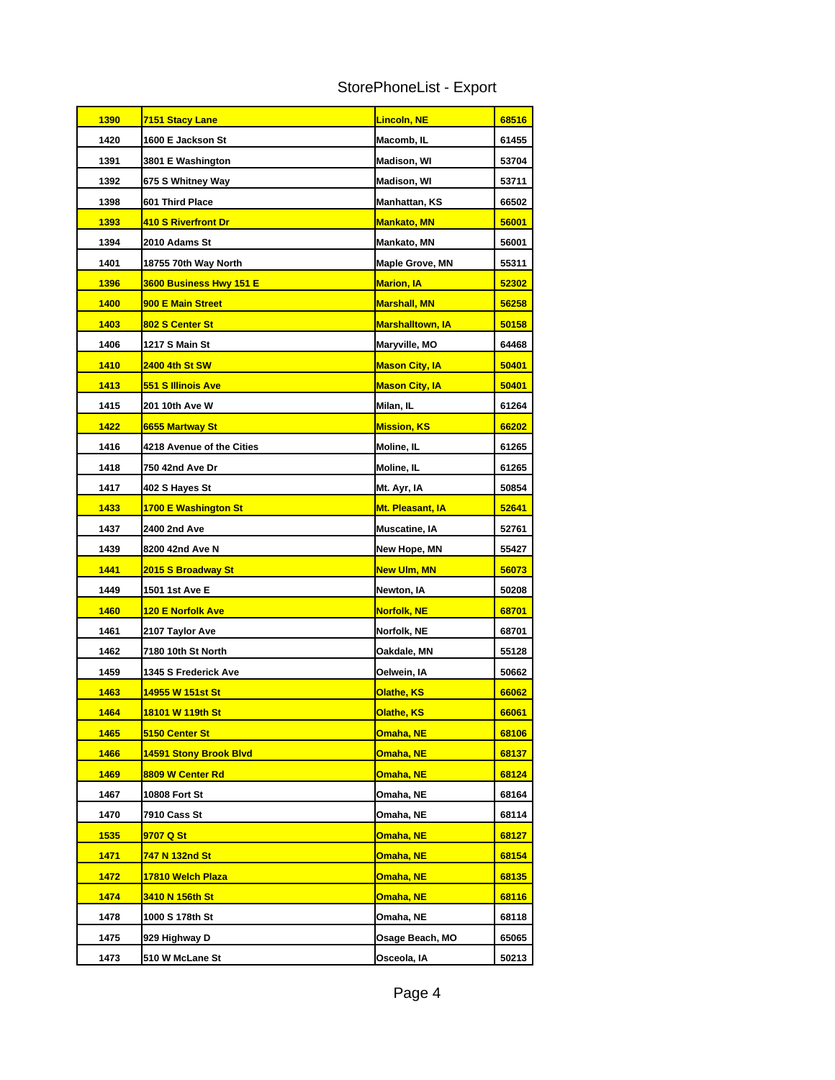| StorePhoneList - Export |  |  |
|-------------------------|--|--|
|-------------------------|--|--|

| <b>1390</b> | <u>7151 Stacy Lane</u>           | <u>Lincoln, NE</u>      | 68516 |
|-------------|----------------------------------|-------------------------|-------|
| 1420        | 1600 E Jackson St                | Macomb, IL              | 61455 |
| 1391        | 3801 E Washington                | Madison, WI             | 53704 |
| 1392        | 675 S Whitney Way                | <b>Madison, WI</b>      | 53711 |
| 1398        | <b>601 Third Place</b>           | Manhattan, KS           | 66502 |
| 1393        | 410 S Riverfront Dr              | <u> Mankato, MN</u>     | 56001 |
| 1394        | 2010 Adams St                    | Mankato, MN             | 56001 |
| 1401        | 18755 70th Way North             | <b>Maple Grove, MN</b>  | 55311 |
| 1396        | 3600 Business Hwy 151 E          | Marion, IA              | 52302 |
| 1400        | 900 E Main Street                | <b>Marshall, MN</b>     | 56258 |
| 1403        | 802 S Center St                  | <u>Marshalltown, IA</u> | 50158 |
| 1406        | 1217 S Main St                   | Maryville, MO           | 64468 |
| <b>1410</b> | <u>2400 4th St SW</u>            | <b>Mason City, IA</b>   | 50401 |
| 1413        | 551 S Illinois Ave               | <b>Mason City, IA</b>   | 50401 |
| 1415        | 201 10th Ave W                   | Milan, IL               | 61264 |
| 1422        | 6655 Martway St                  | <b>Mission, KS</b>      | 66202 |
| 1416        | <b>4218 Avenue of the Cities</b> | Moline, IL              | 61265 |
| 1418        | 750 42nd Ave Dr                  | Moline, IL              | 61265 |
| 1417        | 402 S Hayes St                   | Mt. Ayr, IA             | 50854 |
| 1433        | 1700 E Washington St             | Mt. Pleasant, IA        | 52641 |
| 1437        | 2400 2nd Ave                     | Muscatine, IA           | 52761 |
| 1439        | 8200 42nd Ave N                  | New Hope, MN            | 55427 |
| 1441        | 2015 S Broadway St               | <u>New Ulm, MN</u>      | 56073 |
| 1449        | 1501 1st Ave E                   | Newton, IA              | 50208 |
| 1460        | <u>120 E Norfolk Ave</u>         | <u>Norfolk, NE</u>      | 68701 |
| 1461        | 2107 Taylor Ave                  | Norfolk, NE             | 68701 |
| 1462        | 7180 10th St North               | Oakdale, MN             | 55128 |
| 1459        | 1345 S Frederick Ave             | Oelwein, IA             | 50662 |
| 1463        | 14955 W 151st St                 | <u> Olathe, KS</u>      | 66062 |
| 1464        | 18101 W 119th St                 | Olathe, KS              | 66061 |
| 1465        | 5150 Center St                   | <u>Omaha, NE</u>        | 68106 |
| 1466        | 14591 Stony Brook Blvd           | <u>Omaha, NE</u>        | 68137 |
| 1469        | 8809 W Center Rd                 | Omaha, NE               | 68124 |
| 1467        | 10808 Fort St                    | Omaha, NE               | 68164 |
| 1470        | 7910 Cass St                     | Omaha, NE               | 68114 |
| 1535        | 9707 Q St                        | <mark>Omaha, NE</mark>  | 68127 |
| 1471        | 747 N 132nd St                   | <mark>Omaha, NE</mark>  | 68154 |
| 1472        | 17810 Welch Plaza                | <u>Omaha, NE</u>        | 68135 |
| 1474        | <u>3410 N 156th St</u>           | <u>Omaha, NE</u>        | 68116 |
| 1478        | 1000 S 178th St                  | Omaha, NE               | 68118 |
| 1475        | 929 Highway D                    | Osage Beach, MO         | 65065 |
| 1473        | <b>510 W McLane St</b>           | Osceola, IA             | 50213 |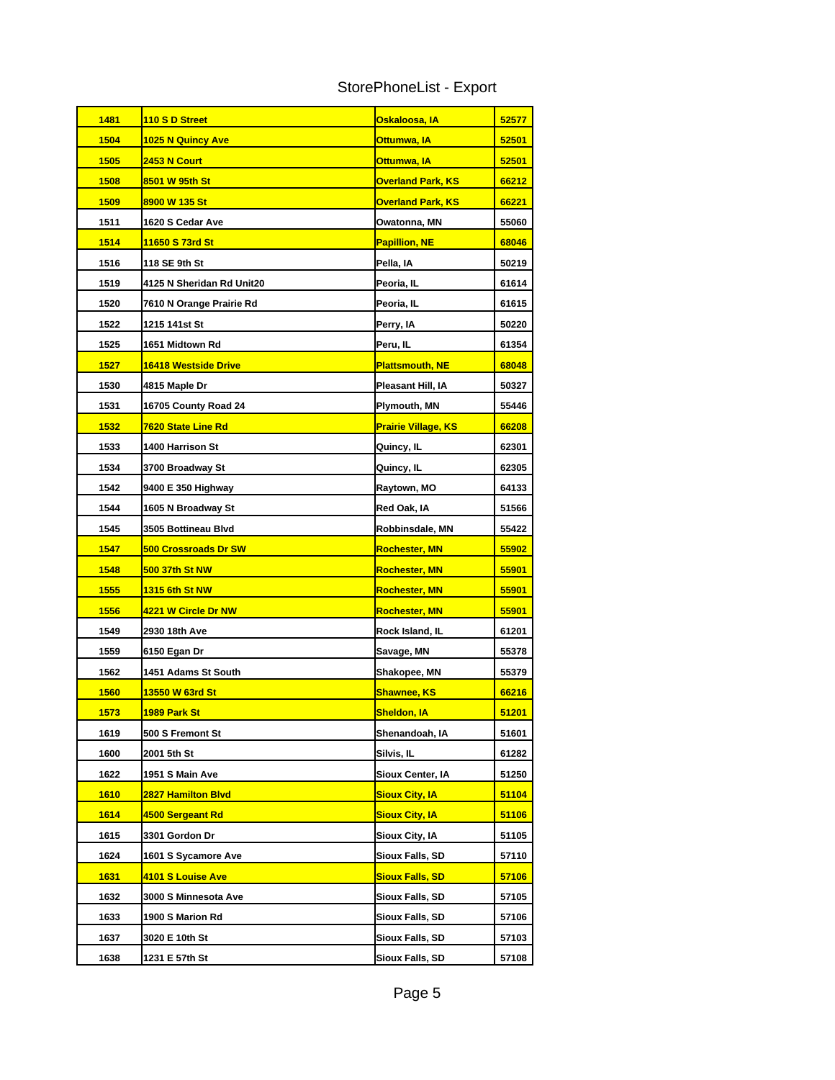| StorePhoneList - Export |  |  |
|-------------------------|--|--|
|-------------------------|--|--|

| 1481        | 110 S D Street              | <u>Oskaloosa, IA</u>       | 52577 |
|-------------|-----------------------------|----------------------------|-------|
| 1504        | <b>1025 N Quincy Ave</b>    | Ottumwa, IA                | 52501 |
| 1505        | <b>2453 N Court</b>         | <mark>Ottumwa, IA</mark>   | 52501 |
| 1508        | 8501 W 95th St              | <b>Overland Park, KS</b>   | 66212 |
| 1509        | 8900 W 135 St               | <b>Overland Park, KS</b>   | 66221 |
| 1511        | 1620 S Cedar Ave            | Owatonna, MN               | 55060 |
| 1514        | 11650 S 73rd St             | <b>Papillion, NE</b>       | 68046 |
| 1516        | 118 SE 9th St               | Pella, IA                  | 50219 |
| 1519        | 4125 N Sheridan Rd Unit20   | Peoria, IL                 | 61614 |
| 1520        | 7610 N Orange Prairie Rd    | Peoria, IL                 | 61615 |
| 1522        | 1215 141st St               | Perry, IA                  | 50220 |
| 1525        | 1651 Midtown Rd             | Peru, IL                   | 61354 |
| <b>1527</b> | <u>16418 Westside Drive</u> | <u> Plattsmouth, NE</u>    | 68048 |
| 1530        | 4815 Maple Dr               | Pleasant Hill, IA          | 50327 |
| 1531        | 16705 County Road 24        | Plymouth, MN               | 55446 |
| 1532        | 7620 State Line Rd          | <b>Prairie Village, KS</b> | 66208 |
| 1533        | <b>1400 Harrison St</b>     | Quincy, IL                 | 62301 |
| 1534        | 3700 Broadway St            | Quincy, IL                 | 62305 |
| 1542        | 9400 E 350 Highway          | Raytown, MO                | 64133 |
| 1544        | 1605 N Broadway St          | Red Oak, IA                | 51566 |
| 1545        | 3505 Bottineau Blvd         | Robbinsdale, MN            | 55422 |
| 1547        | <b>500 Crossroads Dr SW</b> | <b>Rochester, MN</b>       | 55902 |
| 1548        | <u>500 37th St NW</u>       | <u>Rochester, MN</u>       | 55901 |
| 1555        | <b>1315 6th St NW</b>       | <b>Rochester, MN</b>       | 55901 |
| <b>1556</b> | 4221 W Circle Dr NW         | <u>Rochester, MN</u>       | 55901 |
| 1549        | 2930 18th Ave               | Rock Island, IL            | 61201 |
| 1559        | 6150 Egan Dr                | Savage, MN                 | 55378 |
| 1562        | 1451 Adams St South         | <b>Shakopee, MN</b>        | 55379 |
| <b>1560</b> | 13550 W 63rd St             | <u>Shawnee, KS</u>         | 66216 |
| 1573        | 1989 Park St                | <u>Sheldon, IA</u>         | 51201 |
| 1619        | 500 S Fremont St            | Shenandoah, IA             | 51601 |
| 1600        | 2001 5th St                 | Silvis, IL                 | 61282 |
| 1622        | 1951 S Main Ave             | Sioux Center, IA           | 51250 |
| <b>1610</b> | <b>2827 Hamilton Blvd</b>   | <b>Sioux City, IA</b>      | 51104 |
| 1614        | 4500 Sergeant Rd            | Sioux City, IA             | 51106 |
| 1615        | 3301 Gordon Dr              | Sioux City, IA             | 51105 |
| 1624        | 1601 S Sycamore Ave         | Sioux Falls, SD            | 57110 |
| <b>1631</b> | <u>4101 S Louise Ave</u>    | <b>Sioux Falls, SD</b>     | 57106 |
| 1632        | 3000 S Minnesota Ave        | Sioux Falls, SD            | 57105 |
| 1633        | 1900 S Marion Rd            | <b>Sioux Falls, SD</b>     | 57106 |
| 1637        | 3020 E 10th St              | Sioux Falls, SD            | 57103 |
| 1638        | 1231 E 57th St              | <b>Sioux Falls, SD</b>     | 57108 |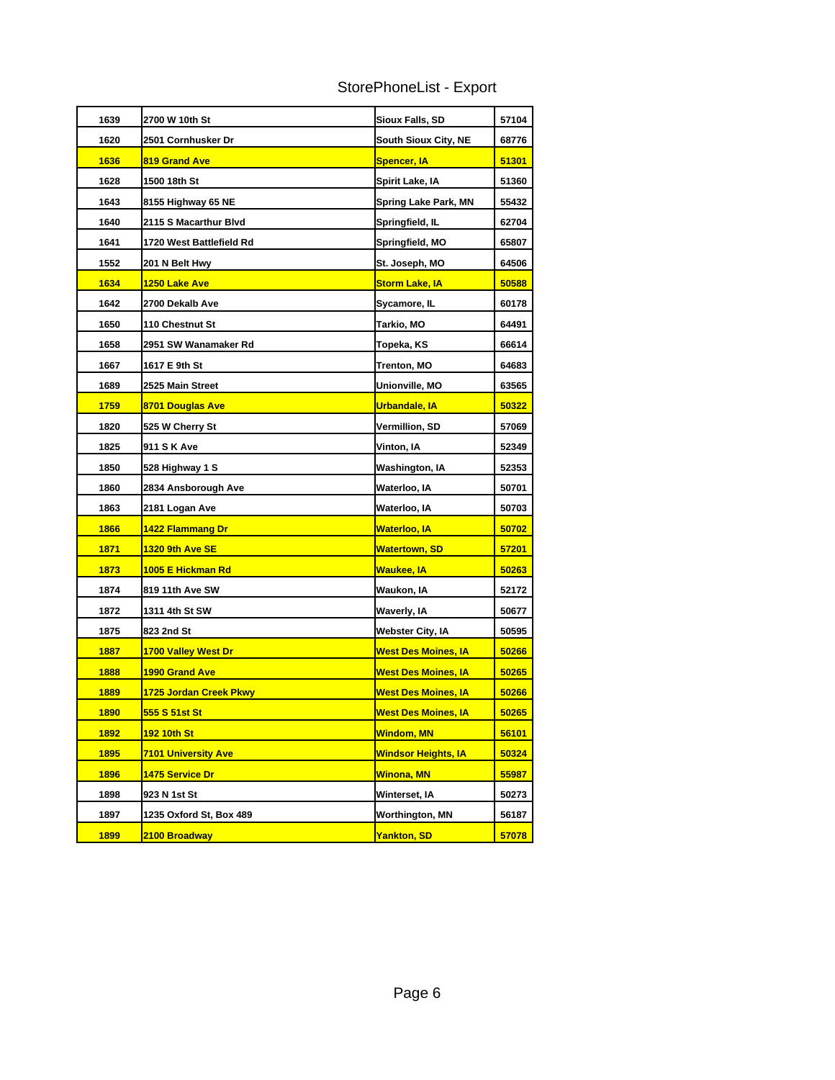| StorePhoneList - Export |  |  |
|-------------------------|--|--|
|-------------------------|--|--|

| 1639        | 2700 W 10th St<br>Sioux Falls, SD |                            | 57104 |
|-------------|-----------------------------------|----------------------------|-------|
| 1620        | 2501 Cornhusker Dr                | South Sioux City, NE       | 68776 |
| 1636        | 819 Grand Ave                     | <b>Spencer, IA</b>         | 51301 |
| 1628        | 1500 18th St                      | Spirit Lake, IA            | 51360 |
| 1643        | 8155 Highway 65 NE                | Spring Lake Park, MN       | 55432 |
| 1640        | 2115 S Macarthur Blvd             | Springfield, IL            | 62704 |
| 1641        | 1720 West Battlefield Rd          | Springfield, MO            | 65807 |
| 1552        | 201 N Belt Hwy                    | St. Joseph, MO             | 64506 |
| 1634        | 1250 Lake Ave                     | <b>Storm Lake, IA</b>      | 50588 |
| 1642        | 2700 Dekalb Ave                   | Sycamore, IL               | 60178 |
| 1650        | 110 Chestnut St                   | Tarkio, MO                 | 64491 |
| 1658        | 2951 SW Wanamaker Rd              | Topeka, KS                 | 66614 |
| 1667        | 1617 E 9th St                     | Trenton, MO                | 64683 |
| 1689        | 2525 Main Street                  | Unionville, MO             | 63565 |
| 1759        | 8701 Douglas Ave                  | <b>Urbandale, IA</b>       | 50322 |
| 1820        | 525 W Cherry St                   | <b>Vermillion, SD</b>      | 57069 |
| 1825        | 911 S K Ave                       | Vinton, IA                 | 52349 |
| 1850        | 528 Highway 1 S                   | Washington, IA             | 52353 |
| 1860        | 2834 Ansborough Ave               | Waterloo, IA               | 50701 |
| 1863        | 2181 Logan Ave                    | Waterloo, IA               | 50703 |
| 1866        | 1422 Flammang Dr                  | <mark>Waterloo, IA</mark>  | 50702 |
| 1871        | <b>1320 9th Ave SE</b>            | Watertown, SD              | 57201 |
| 1873        | 1005 E Hickman Rd                 | <u>Waukee, IA</u>          | 50263 |
| 1874        | 819 11th Ave SW                   | Waukon, IA                 | 52172 |
| 1872        | 1311 4th St SW                    | Waverly, IA                | 50677 |
| 1875        | 823 2nd St                        | <b>Webster City, IA</b>    | 50595 |
| 1887        | <u>1700 Valley West Dr</u>        | <u>West Des Moines, IA</u> | 50266 |
| 1888        | <b>1990 Grand Ave</b>             | <u>West Des Moines, IA</u> | 50265 |
| 1889        | 1725 Jordan Creek Pkwy            | West Des Moines, IA        | 50266 |
| <b>1890</b> | 555 S 51st St                     | <b>West Des Moines, IA</b> | 50265 |
| 1892        | 192 10th St                       | <mark>Windom, MN</mark>    | 56101 |
| 1895        | <b>7101 University Ave</b>        | <b>Windsor Heights, IA</b> | 50324 |
| 1896        | 1475 Service Dr                   | Winona, MN                 | 55987 |
| 1898        | 923 N 1st St                      | Winterset, IA              | 50273 |
| 1897        | 1235 Oxford St, Box 489           | Worthington, MN            | 56187 |
| 1899        | 2100 Broadway                     | <b>Yankton, SD</b>         | 57078 |